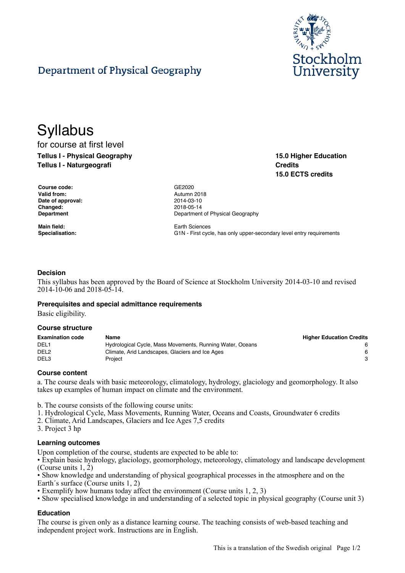

**15.0 Higher Education**

**15.0 ECTS credits**

**Credits**

# Department of Physical Geography

# **Syllabus** for course at first level

**Tellus I - Physical Geography Tellus I - Naturgeografi**

| <b>Course code:</b> |
|---------------------|
| Valid from:         |
| Date of approval:   |
| Changed:            |
| Department          |

**Main field:** Earth Sciences

**Course code:** GE2020 **Valid from:** Autumn 2018 **Date of approval:** 2014-03-10 **Changed:** 2018-05-14 **Department of Physical Geography** 

**Specialisation:** G1N - First cycle, has only upper-secondary level entry requirements

#### **Decision**

This syllabus has been approved by the Board of Science at Stockholm University 2014-03-10 and revised 2014-10-06 and 2018-05-14.

#### **Prerequisites and special admittance requirements**

Basic eligibility.

#### **Course structure**

| <b>Examination code</b> | Name                                                      | <b>Higher Education Credits</b> |
|-------------------------|-----------------------------------------------------------|---------------------------------|
| DEL <sub>1</sub>        | Hydrological Cycle, Mass Movements, Running Water, Oceans |                                 |
| DEL <sub>2</sub>        | Climate, Arid Landscapes, Glaciers and Ice Ages           | 6.                              |
| DEL <sub>3</sub>        | Proiect                                                   |                                 |

#### **Course content**

a. The course deals with basic meteorology, climatology, hydrology, glaciology and geomorphology. It also takes up examples of human impact on climate and the environment.

b. The course consists of the following course units:

- 1. Hydrological Cycle, Mass Movements, Running Water, Oceans and Coasts, Groundwater 6 credits
- 2. Climate, Arid Landscapes, Glaciers and Ice Ages 7,5 credits
- 3. Project 3 hp

#### **Learning outcomes**

Upon completion of the course, students are expected to be able to:

• Explain basic hydrology, glaciology, geomorphology, meteorology, climatology and landscape development (Course units 1, 2)

• Show knowledge and understanding of physical geographical processes in the atmosphere and on the Earth´s surface (Course units 1, 2)

- Exemplify how humans today affect the environment (Course units 1, 2, 3)
- Show specialised knowledge in and understanding of a selected topic in physical geography (Course unit 3)

# **Education**

The course is given only as a distance learning course. The teaching consists of web-based teaching and independent project work. Instructions are in English.